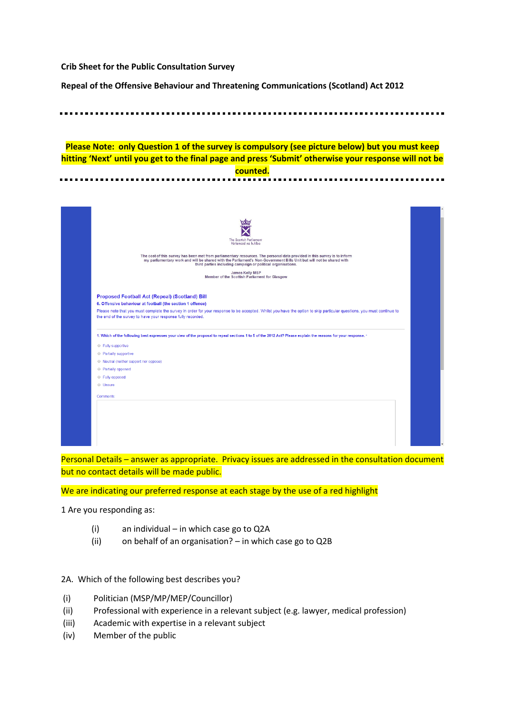**Crib Sheet for the Public Consultation Survey** 

**Repeal of the Offensive Behaviour and Threatening Communications (Scotland) Act 2012**

**Please Note: only Question 1 of the survey is compulsory (see picture below) but you must keep hitting 'Next' until you get to the final page and press 'Submit' otherwise your response will not be counted.**



Personal Details – answer as appropriate. Privacy issues are addressed in the consultation document but no contact details will be made public.

We are indicating our preferred response at each stage by the use of a red highlight

1 Are you responding as:

- (i) an individual in which case go to Q2A
- (ii) on behalf of an organisation? in which case go to Q2B
- 2A. Which of the following best describes you?
- (i) Politician (MSP/MP/MEP/Councillor)
- (ii) Professional with experience in a relevant subject (e.g. lawyer, medical profession)
- (iii) Academic with expertise in a relevant subject
- (iv) Member of the public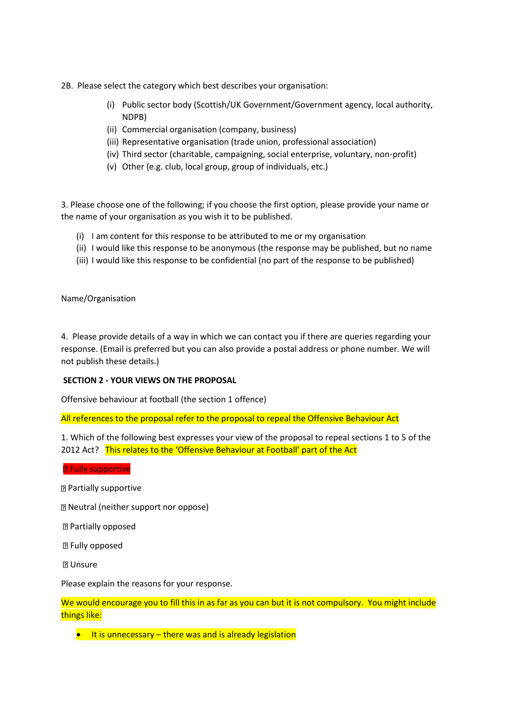- 2B. Please select the category which best describes your organisation:
	- (i) Public sector body (Scottish/UK Government/Government agency, local authority, NDPB)
	- (ii) Commercial organisation (company, business)
	- (iii) Representative organisation (trade union, professional association)
	- (iv) Third sector (charitable, campaigning, social enterprise, voluntary, non-profit)
	- (v) Other (e.g. club, local group, group of individuals, etc.)

3. Please choose one of the following; if you choose the first option, please provide your name or the name of your organisation as you wish it to be published.

- (i) I am content for this response to be attributed to me or my organisation
- (ii) I would like this response to be anonymous (the response may be published, but no name
- (iii) I would like this response to be confidential (no part of the response to be published)

Name/Organisation

4. Please provide details of a way in which we can contact you if there are queries regarding your response. (Email is preferred but you can also provide a postal address or phone number. We will not publish these details.)

# **SECTION 2 - YOUR VIEWS ON THE PROPOSAL**

Offensive behaviour at football (the section 1 offence)

All references to the proposal refer to the proposal to repeal the Offensive Behaviour Act

1. Which of the following best expresses your view of the proposal to repeal sections 1 to 5 of the 2012 Act? This relates to the 'Offensive Behaviour at Football' part of the Act

**B** Fully supportive

Partially supportive

Neutral (neither support nor oppose)

Partially opposed

**图 Fully opposed** 

**图 Unsure** 

Please explain the reasons for your response.

We would encourage you to fill this in as far as you can but it is not compulsory. You might include things like:

 $\bullet$  It is unnecessary – there was and is already legislation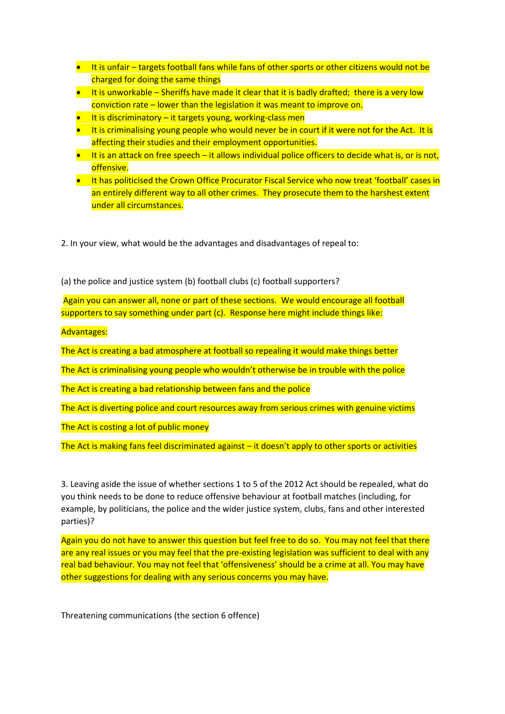- It is unfair targets football fans while fans of other sports or other citizens would not be charged for doing the same things
- $\bullet$  It is unworkable Sheriffs have made it clear that it is badly drafted; there is a very low conviction rate – lower than the legislation it was meant to improve on.
- $\bullet$  It is discriminatory it targets young, working-class men
- $\bullet$  It is criminalising young people who would never be in court if it were not for the Act. It is affecting their studies and their employment opportunities.
- $\bullet$  It is an attack on free speech it allows individual police officers to decide what is, or is not, offensive.
- It has politicised the Crown Office Procurator Fiscal Service who now treat 'football' cases in an entirely different way to all other crimes. They prosecute them to the harshest extent under all circumstances.

2. In your view, what would be the advantages and disadvantages of repeal to:

(a) the police and justice system (b) football clubs (c) football supporters?

Again you can answer all, none or part of these sections. We would encourage all football supporters to say something under part (c). Response here might include things like:

Advantages:

The Act is creating a bad atmosphere at football so repealing it would make things better

The Act is criminalising young people who wouldn't otherwise be in trouble with the police

The Act is creating a bad relationship between fans and the police

The Act is diverting police and court resources away from serious crimes with genuine victims

The Act is costing a lot of public money

The Act is making fans feel discriminated against – it doesn't apply to other sports or activities

3. Leaving aside the issue of whether sections 1 to 5 of the 2012 Act should be repealed, what do you think needs to be done to reduce offensive behaviour at football matches (including, for example, by politicians, the police and the wider justice system, clubs, fans and other interested parties)?

Again you do not have to answer this question but feel free to do so. You may not feel that there are any real issues or you may feel that the pre-existing legislation was sufficient to deal with any real bad behaviour. You may not feel that 'offensiveness' should be a crime at all. You may have other suggestions for dealing with any serious concerns you may have.

Threatening communications (the section 6 offence)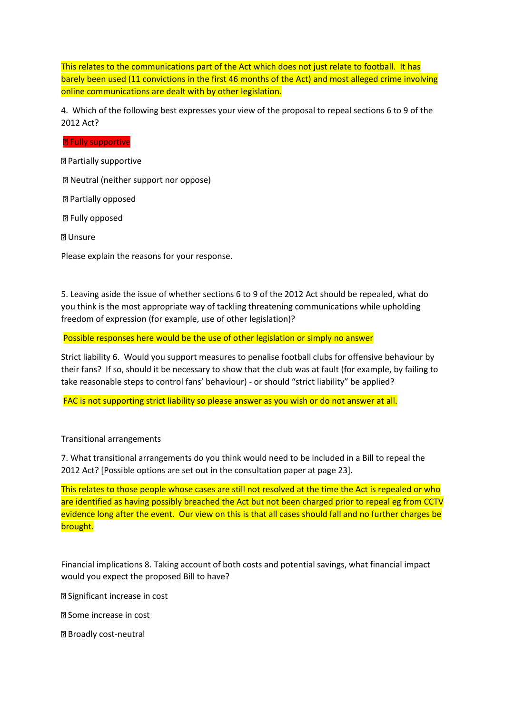This relates to the communications part of the Act which does not just relate to football. It has barely been used (11 convictions in the first 46 months of the Act) and most alleged crime involving online communications are dealt with by other legislation.

4. Which of the following best expresses your view of the proposal to repeal sections 6 to 9 of the 2012 Act?

## **R** Fully supportive

**图 Partially supportive** 

Neutral (neither support nor oppose)

**2 Partially opposed** 

**图 Fully opposed** 

**2** Unsure

Please explain the reasons for your response.

5. Leaving aside the issue of whether sections 6 to 9 of the 2012 Act should be repealed, what do you think is the most appropriate way of tackling threatening communications while upholding freedom of expression (for example, use of other legislation)?

Possible responses here would be the use of other legislation or simply no answer

Strict liability 6. Would you support measures to penalise football clubs for offensive behaviour by their fans? If so, should it be necessary to show that the club was at fault (for example, by failing to take reasonable steps to control fans' behaviour) - or should "strict liability" be applied?

FAC is not supporting strict liability so please answer as you wish or do not answer at all.

Transitional arrangements

7. What transitional arrangements do you think would need to be included in a Bill to repeal the 2012 Act? [Possible options are set out in the consultation paper at page 23].

This relates to those people whose cases are still not resolved at the time the Act is repealed or who are identified as having possibly breached the Act but not been charged prior to repeal eg from CCTV evidence long after the event. Our view on this is that all cases should fall and no further charges be brought.

Financial implications 8. Taking account of both costs and potential savings, what financial impact would you expect the proposed Bill to have?

Significant increase in cost

Some increase in cost

Broadly cost-neutral